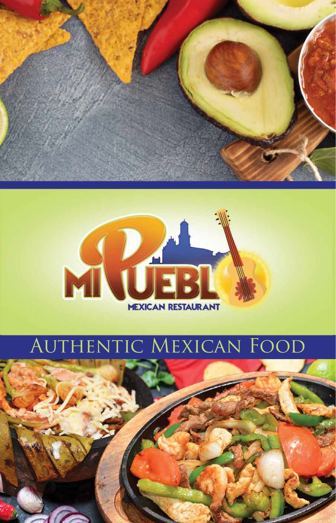



### AUTHENTIC MEXICAN FOOD

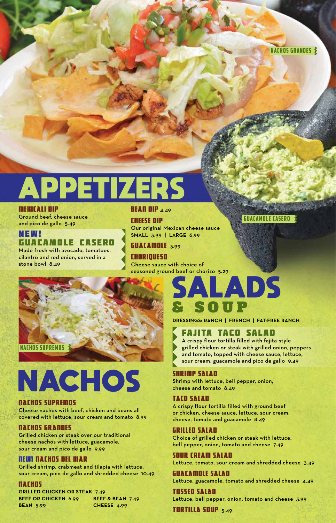## APPETIZERS

#### MEXICALI DIP

Ground beef, cheese sauce and pico de gallo 5.49

#### NEW! GUACAMOLE CASERO

Made fresh with avocado, tomatoes, cilantro and red onion, served in a stone bowl 8.49

#### **BEAN DIP 4.49**

#### CHEESE DIP

Our original Mexican cheese sauce **SMALL** 3.99 | **LARGE** 6.99

**GUACAMOLE 3.99** 

CHORIQUESO Cheese sauce with choice of seasoned ground beef or chorizo 5.29



# NACHOS

#### NACHOS SUPREMOS

Cheese nachos with beef, chicken and beans all covered with lettuce, sour cream and tomato 8.99

#### NACHOS GRANDES

Grilled chicken or steak over our traditional cheese nachos with lettuce, guacamole, sour cream and pico de gallo 9.99

#### NEW! NACHOS DEL MAR

Grilled shrimp, crabmeat and tilapia with lettuce, sour cream, pico de gallo and shredded cheese 10.49

#### NACHOS

**GRILLED CHICKEN OR STEAK** 7.49 **BEEF OR CHICKEN** 6.99 **BEEF & BEAN** 7.49 **BEAN** 5.99 **CHEESE** 4.99

### ADS **SOUP**

**DRESSINGS: RANCH | FRENCH | FAT-FREE RANCH**

#### FAJITA TACO SALAD

A crispy flour tortilla filled with fajita-style grilled chicken or steak with grilled onion, peppers and tomato, topped with cheese sauce, lettuce, sour cream, guacamole and pico de gallo 9.49

GUACAMOLE CASERO

#### SHRIMP SALAD

Shrimp with lettuce, bell pepper, onion, cheese and tomato 8.49

#### TACO SALAD

A crispy flour tortilla filled with ground beef or chicken, cheese sauce, lettuce, sour cream, cheese, tomato and guacamole 8.49

#### GRILLED SALAD

Choice of grilled chicken or steak with lettuce, bell pepper, onion, tomato and cheese 7.49

#### SOUR CREAM SALAD

Lettuce, tomato, sour cream and shredded cheese 3.49

#### GUACAMOLE SALAD

Lettuce, guacamole, tomato and shredded cheese 4.49

TOSSED SALAD Lettuce, bell pepper, onion, tomato and cheese 3.99

TORTILLA SOUP 5.49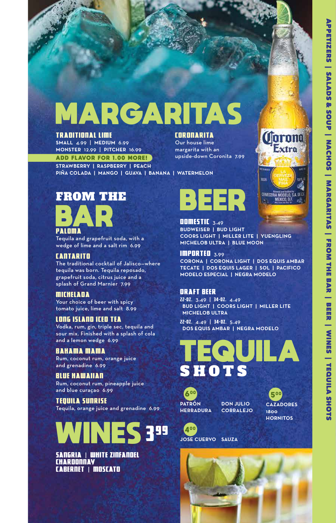## MARGARITAS

#### TRADITIONAL LIME

**SMALL** 4.99 | **MEDIUM** 6.99 **MONSTER** 12.99 | **PITCHER** 16.99

ADD FLAVOR FOR 1.00 MORE!

**STRAWBERRY | RASPBERRY | PEACH PIÑA COLADA | MANGO | GUAVA | BANANA | WATERMELON**

### FROM THE



Tequila and grapefruit soda, with a wedge of lime and a salt rim 6.99

#### CANTARITO

The traditional cocktail of Jalisco—where tequila was born. Tequila reposado, grapefruit soda, citrus juice and a splash of Grand Marnier 7.99

#### MICHELADA

Your choice of beer with spicy tomato juice, lime and salt 8.99

#### LONG ISLAND ICED TEA

Vodka, rum, gin, triple sec, tequila and sour mix. Finished with a splash of cola and a lemon wedge 6.99

#### BAHAMA MAMA

Rum, coconut rum, orange juice and grenadine 6.99

#### BLUE HAWAIIAN

Rum, coconut rum, pineapple juice and blue curaçao 6.99

TEQUILA SUNRISE Tequila, orange juice and grenadine 6.99



SANGRIA | WHITE ZINFANDEL **CHARDONNAY** CABERNET | MOSCATO

### ER.

upside-down Coronita 7.99

**CORONARITA** Our house lime margarita with an

> **DOMESTIC** 3.49 **BUDWEISER | BUD LIGHT COORS LIGHT | MILLER LITE | YUENGLING MICHELOB ULTRA | BLUE MOON**

IMPORTED 3.99 **CORONA | CORONA LIGHT | DOS EQUIS AMBAR TECATE | DOS EQUIS LAGER | SOL | PACIFICO MODELO ESPECIAL | NEGRA MODELO**

#### DRAFT BEER

22-oz. 3.49 | 34-oz. 4.49 **BUD LIGHT | COORS LIGHT | MILLER LITE MICHELOB ULTRA**

22-oz. 4.49 | 34-oz. 5.49 **DOS EQUIS AMBAR | NEGRA MODELO**





500 **CAZADORES 1800 HORNITOS**

400 **JOSE CUERVO SAUZA**



**Corona** 

Extra

**ERVECERIA MODELO, S.A. DEC.**<br>MEXICO, D.F.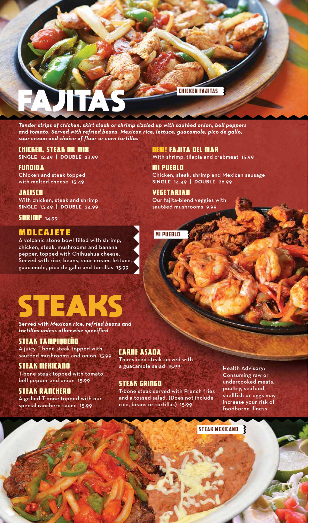

*Tender strips of chicken, skirt steak or shrimp sizzled up with sautéed onion, bell peppers and tomato. Served with refried beans, Mexican rice, lettuce, guacamole, pico de gallo, sour cream and choice of flour or corn tortillas*

#### CHICKEN, STEAK OR MIX

**SINGLE** 12.49 | **DOUBLE** 23.99

FUNDIDA Chicken and steak topped with melted cheese 13.49

JALISCO With chicken, steak and shrimp **SINGLE** 13.49 | **DOUBLE** 24.99

**SHRIMP** 14.99

#### MOLCAJETE

A volcanic stone bowl filled with shrimp, chicken, steak, mushrooms and banana pepper, topped with Chihuahua cheese. Served with rice, beans, sour cream, lettuce, guacamole, pico de gallo and tortillas 15.99

## STEAK

*Served with Mexican rice, refried beans and tortillas unless otherwise specified*

#### STEAK TAMPIQUEÑO

A juicy T-bone steak topped with sautéed mushrooms and onion 15.99

STEAK MEXICANO T-bone steak topped with tomato, bell pepper and onion 15.99

#### STEAK RANCHERO

A grilled T-bone topped with our special ranchero sauce 15.99

### CARNE ASADA

Thin-sliced steak served with a guacamole salad 15.99

#### STEAK GRINGO

T-bone steak served with French fries and a tossed salad. (Does not include rice, beans or tortillas) 15.99

Health Advisory: Consuming raw or undercooked meats, poultry, seafood, shellfish or eggs may increase your risk of foodborne illness

#### STEAK MEXICANO

NEW! FAJITA DEL MAR With shrimp, tilapia and crabmeat 15.99

MI PUEBLO Chicken, steak, shrimp and Mexican sausage **SINGLE** 14.49 | **DOUBLE** 26.99

**VEGETARIAN** Our fajita-blend veggies with sautéed mushrooms 9.99

#### MI PUEBLO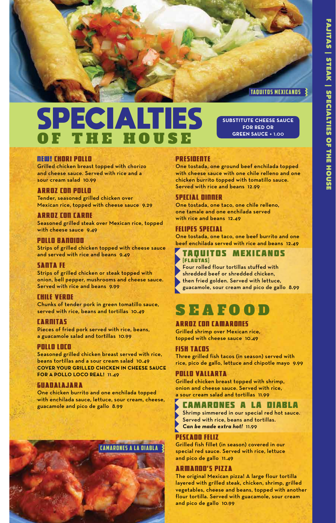#### TAQUITOS MEXICANOS

**SUBSTITUTE CHEESE SAUCE FOR RED OR GREEN SAUCE** + 1.00

### SPECIALTIES THE HOUSE

#### NEW! CHORI POLLO

Grilled chicken breast topped with chorizo and cheese sauce. Served with rice and a sour cream salad 10.99

#### ARROZ CON POLLO

Tender, seasoned grilled chicken over Mexican rice, topped with cheese sauce 9.29

#### ARROZ CON CARNE

Seasoned grilled steak over Mexican rice, topped with cheese sauce 9.49

#### POLLO BANDIDO

Strips of grilled chicken topped with cheese sauce and served with rice and beans 9.49

#### SANTA FE

Strips of grilled chicken or steak topped with onion, bell pepper, mushrooms and cheese sauce. Served with rice and beans 9.99

#### CHILE VERDE

Chunks of tender pork in green tomatillo sauce, served with rice, beans and tortillas 10.49

#### CARNITAS

Pieces of fried pork served with rice, beans, a guacamole salad and tortillas 10.99

#### POLLO LOCO

Seasoned grilled chicken breast served with rice, beans tortillas and a sour cream salad 10.49 **COVER YOUR GRILLED CHICKEN IN CHEESE SAUCE FOR A POLLO LOCO REAL! 11.49** 

#### GUADALAJARA

One chicken burrito and one enchilada topped with enchilada sauce, lettuce, sour cream, cheese, guacamole and pico de gallo 8.99



#### PRESIDENTE

One tostada, one ground beef enchilada topped with cheese sauce with one chile relleno and one chicken burrito topped with tomatillo sauce. Served with rice and beans 12.99

#### SPECIAL DINNER

One tostada, one taco, one chile relleno, one tamale and one enchilada served with rice and beans 12.49

#### FELIPES SPECIAL

One tostada, one taco, one beef burrito and one beef enchilada served with rice and beans 12.49

#### TAQUITOS MEXICANOS (FLAUTAS)

Four rolled flour tortillas stuffed with shredded beef or shredded chicken, then fried golden. Served with lettuce, guacamole, sour cream and pico de gallo 8.99

### SEAFOO

#### ARROZ CON CAMARONES

Grilled shrimp over Mexican rice, topped with cheese sauce 10.49

#### FISH TACOS

Three grilled fish tacos (in season) served with rice, pico de gallo, lettuce and chipotle mayo 9.99

#### POLLO VALLARTA

Grilled chicken breast topped with shrimp, onion and cheese sauce. Served with rice, a sour cream salad and tortillas 11.99

#### CAMARONES A LA DIABLA

Shrimp simmered in our special red hot sauce. Served with rice, beans and tortillas. *Can be made extra hot!* 11.99

#### PESCADO FELIZ

Grilled fish fillet (in season) covered in our special red sauce. Served with rice, lettuce and pico de gallo 11.49

#### ARMANDO'S PIZZA

The original Mexican pizza! A large flour tortilla layered with grilled steak, chicken, shrimp, grilled vegetables, cheese and beans, topped with another flour tortilla. Served with guacamole, sour cream and pico de gallo 10.99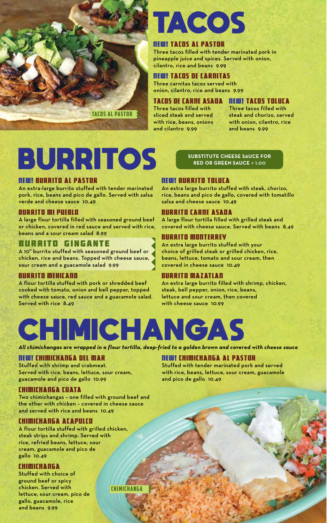

# TACOS

#### NEW! TACOS AL PASTOR

Three tacos filled with tender marinated pork in pineapple juice and spices. Served with onion, cilantro, rice and beans 9.99

#### NEW! TACOS DE CARNITAS

Three carnitas tacos served with onion, cilantro, rice and beans 9.99

#### TACOS DE CARNE ASADA NEW! TACOS TOLUCA

Three tacos filled with sliced steak and served with rice, beans, onions and cilantro 9.99

Three tacos filled with steak and chorizo, served with onion, cilantro, rice and beans 9.99

# BURRITOS

#### NEW! BURRITO AL PASTOR

An extra-large burrito stuffed with tender marinated pork, rice, beans and pico de gallo. Served with salsa verde and cheese sauce 10.49

#### BURRITO MI PUEBLO

A large flour tortilla filled with seasoned ground beef or chicken, covered in red sauce and served with rice, beans and a sour cream salad 8.99

#### BURRITO GINGANTE

A 10" burrito stuffed with seasoned ground beef or chicken, rice and beans. Topped with cheese sauce, sour cream and a guacamole salad 9.99

#### BURRITO MEXICANO

A flour tortilla stuffed with pork or shredded beef cooked with tomato, onion and bell pepper, topped with cheese sauce, red sauce and a guacamole salad. Served with rice 8.49

#### **SUBSTITUTE CHEESE SAUCE FOR RED OR GREEN SAUCE** + 1.00

#### NEW! BURRITO TOLUCA

An extra large burrito stuffed with steak, chorizo, rice, beans and pico de gallo, covered with tomatillo salsa and cheese sauce 10.49

#### BURRITO CARNE ASADA

A large flour tortilla filled with grilled steak and covered with cheese sauce. Served with beans 8.49

#### BURRITO MONTERREY

An extra large burrito stuffed with your choice of grilled steak or grilled chicken, rice, beans, lettuce, tomato and sour cream, then covered in cheese sauce 10.49

#### BURRITO MAZATLAN

An extra large burrito filled with shrimp, chicken, steak, bell pepper, onion, rice, beans, lettuce and sour cream, then covered with cheese sauce 10.99



*All chimichangas are wrapped in a flour tortilla, deep-fried to a golden brown and covered with cheese sauce*

#### NEW! CHIMICHANGA DEL MAR

Stuffed with shrimp and crabmeat. Served with rice, beans, lettuce, sour cream, guacamole and pico de gallo 10.99

#### CHIMICHANGA CUATA

Two chimichangas – one filled with ground beef and the other with chicken – covered in cheese sauce and served with rice and beans 10.49

#### CHIMICHANGA ACAPULCO

A flour tortilla stuffed with grilled chicken, steak strips and shrimp. Served with rice, refried beans, lettuce, sour cream, guacamole and pico de gallo 10.49

#### CHIMICHANGA

Stuffed with choice of ground beef or spicy chicken. Served with lettuce, sour cream, pico de gallo, guacamole, rice and beans 9.99

CHIMICHANGA

#### NEW! CHIMICHANGA AL PASTOR

Stuffed with tender marinated pork and served with rice, beans, lettuce, sour cream, guacamole and pico de gallo 10.49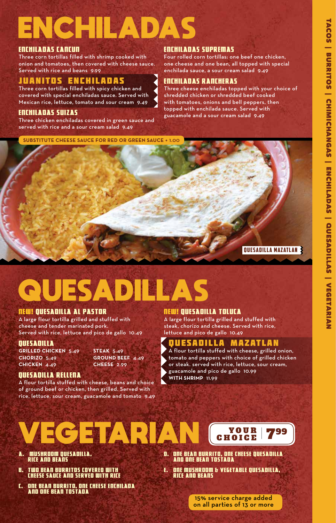# ENCHILADAS

#### ENCHILADAS CANCUN

Three corn tortillas filled with shrimp cooked with onion and tomatoes, then covered with cheese sauce. Served with rice and beans 9.99

#### JUANITOS ENCHILADAS

Three corn tortillas filled with spicy chicken and covered with special enchiladas sauce. Served with Mexican rice, lettuce, tomato and sour cream 9.49

#### ENCHILADAS SUIZAS

Three chicken enchiladas covered in green sauce and served with rice and a sour cream salad 9.49

**SUBSTITUTE CHEESE SAUCE FOR RED OR GREEN SAUCE** + 1.00

#### ENCHILADAS SUPREMAS

Four rolled corn tortillas: one beef one chicken, one cheese and one bean, all topped with special enchilada sauce, a sour cream salad 9.49

#### ENCHILADAS RANCHERAS

Three cheese enchiladas topped with your choice of shredded chicken or shredded beef cooked with tomatoes, onions and bell peppers, then topped with enchilada sauce. Served with guacamole and a sour cream salad 9.49

QUESADILLA MAZATLAN

# **QUESADILLAS**

#### NEW! QUESADILLA AL PASTOR

A large flour tortilla grilled and stuffed with cheese and tender marinated pork. Served with rice, lettuce and pico de gallo 10.49

#### **OUESADILLA**

**GRILLED CHICKEN** 5.49 **STEAK** 5.49 **CHORIZO** 5.49 **GROUND BEEF** 4.49 **CHICKEN** 4.49 **CHEESE** 2.99

#### QUESADILLA RELLENA

A flour tortilla stuffed with cheese, beans and choice of ground beef or chicken, then grilled. Served with rice, lettuce, sour cream, guacamole and tomato 9.49

#### NEW! QUESADILLA TOLUCA

A large flour tortilla grilled and stuffed with steak, chorizo and cheese. Served with rice, lettuce and pico de gallo 10.49

#### QUESADILLA MAZATLAN

A flour tortilla stuffed with cheese, grilled onion, tomato and peppers with choice of grilled chicken or steak. served with rice, lettuce, sour cream, guacamole and pico de gallo 10.99 **WITH SHRIMP** 11.99



- A. MUSHROOM QUESADILLA, RICE AND BEANS
- B. TWO BEAN BURRITOS COVERED WITH CHEESE SAUCE AND SERVED WITH RICE
- C. ONE BEAN BURRITO, ONE CHEESE ENCHILADA AND ONE BEAN TOSTADA
- D. ONE BEAN BURRITO, ONE CHEESE QUESADILLA AND ONE BEAN TOSTADA
- E. ONE MUSHROOM & VEGETABLE QUESADILLA, RICE AND BEANS

15% service charge added on all parties of 13 or more